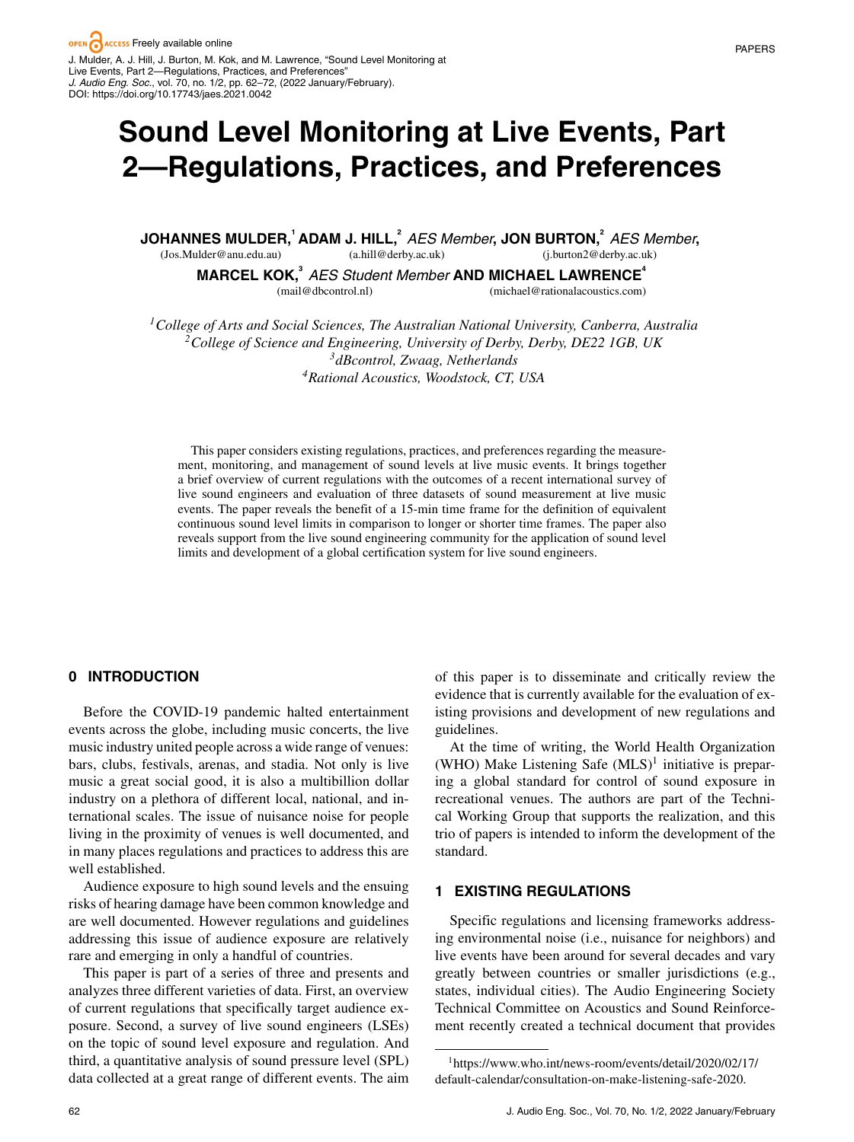# **Sound Level Monitoring at Live Events, Part 2—Regulations, Practices, and Preferences**

<code>JOHANNES MULDER, $^1$ ADAM J. HILL, $^2$  AES Member, JON BURTON, $^2$  AES Member,</code> (Jos.Mulder@anu.edu.au) (j.burton2@derby.ac.uk)

(a.hill@derby.ac.uk)

**MARCEL KOK,<sup>3</sup>** *AES Student Member* **AND MICHAEL LAWRENCE<sup>4</sup>**

(mail@dbcontrol.nl)

(michael@rationalacoustics.com)

*1College of Arts and Social Sciences, The Australian National University, Canberra, Australia 2College of Science and Engineering, University of Derby, Derby, DE22 1GB, UK 3dBcontrol, Zwaag, Netherlands 4Rational Acoustics, Woodstock, CT, USA*

This paper considers existing regulations, practices, and preferences regarding the measurement, monitoring, and management of sound levels at live music events. It brings together a brief overview of current regulations with the outcomes of a recent international survey of live sound engineers and evaluation of three datasets of sound measurement at live music events. The paper reveals the benefit of a 15-min time frame for the definition of equivalent continuous sound level limits in comparison to longer or shorter time frames. The paper also reveals support from the live sound engineering community for the application of sound level limits and development of a global certification system for live sound engineers.

# **0 INTRODUCTION**

Before the COVID-19 pandemic halted entertainment events across the globe, including music concerts, the live music industry united people across a wide range of venues: bars, clubs, festivals, arenas, and stadia. Not only is live music a great social good, it is also a multibillion dollar industry on a plethora of different local, national, and international scales. The issue of nuisance noise for people living in the proximity of venues is well documented, and in many places regulations and practices to address this are well established.

Audience exposure to high sound levels and the ensuing risks of hearing damage have been common knowledge and are well documented. However regulations and guidelines addressing this issue of audience exposure are relatively rare and emerging in only a handful of countries.

This paper is part of a series of three and presents and analyzes three different varieties of data. First, an overview of current regulations that specifically target audience exposure. Second, a survey of live sound engineers (LSEs) on the topic of sound level exposure and regulation. And third, a quantitative analysis of sound pressure level (SPL) data collected at a great range of different events. The aim

of this paper is to disseminate and critically review the evidence that is currently available for the evaluation of existing provisions and development of new regulations and guidelines.

At the time of writing, the World Health Organization (WHO) Make Listening Safe  $(MLS)^1$  initiative is preparing a global standard for control of sound exposure in recreational venues. The authors are part of the Technical Working Group that supports the realization, and this trio of papers is intended to inform the development of the standard.

# **1 EXISTING REGULATIONS**

Specific regulations and licensing frameworks addressing environmental noise (i.e., nuisance for neighbors) and live events have been around for several decades and vary greatly between countries or smaller jurisdictions (e.g., states, individual cities). The Audio Engineering Society Technical Committee on Acoustics and Sound Reinforcement recently created a technical document that provides

[<sup>1</sup>https://www.who.int/news-room/events/detail/2020/02/17/](https://www.who.int/news-room/events/detail/2020/02/17/default-calendar/consultation-on-make-listening-safe-2020) [default-calendar/consultation-on-make-listening-safe-2020.](https://www.who.int/news-room/events/detail/2020/02/17/default-calendar/consultation-on-make-listening-safe-2020)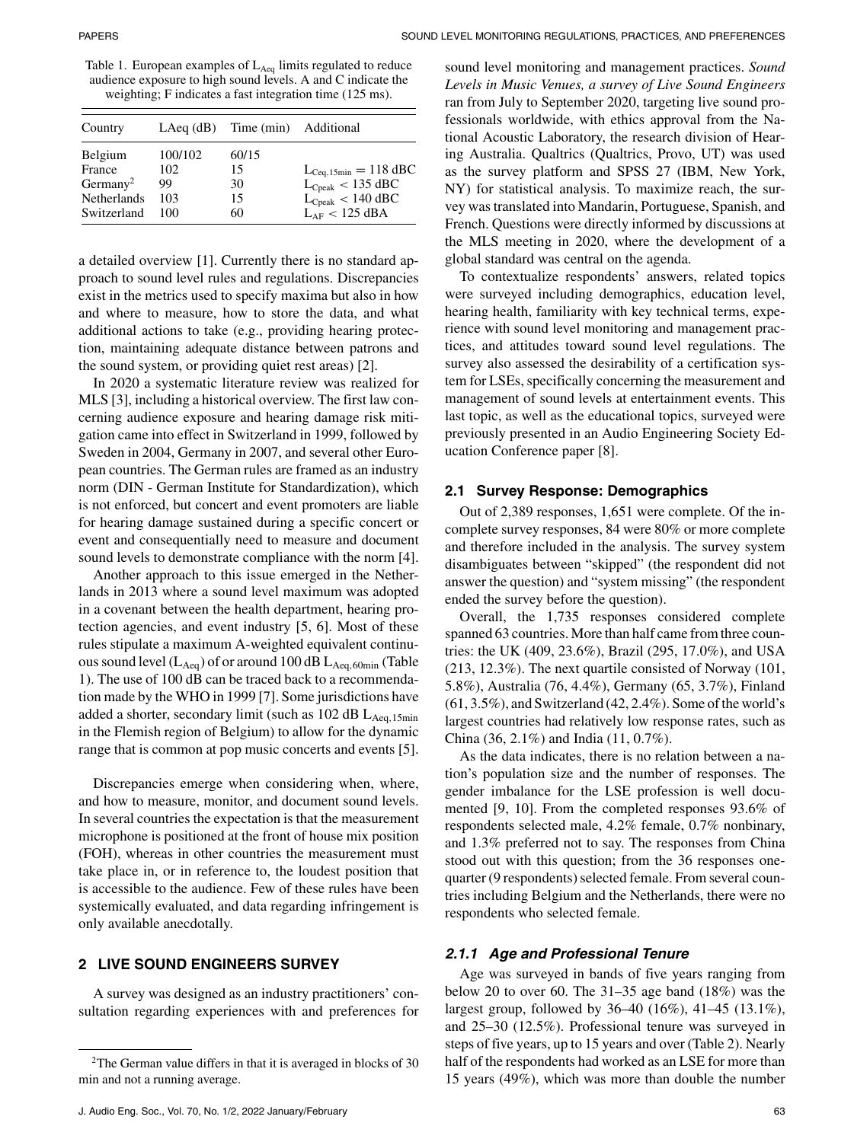Table 1. European examples of  $L_{Aeq}$  limits regulated to reduce audience exposure to high sound levels. A and C indicate the weighting; F indicates a fast integration time (125 ms).

| Country                                                                        |                                    | LAeq (dB) Time (min) Additional |                                                                                                                          |
|--------------------------------------------------------------------------------|------------------------------------|---------------------------------|--------------------------------------------------------------------------------------------------------------------------|
| Belgium<br>France<br>Germany <sup>2</sup><br><b>Netherlands</b><br>Switzerland | 100/102<br>102<br>99<br>103<br>100 | 60/15<br>15<br>30<br>15<br>60   | $L_{\text{Ceq}, 15\text{min}} = 118 \text{ dBC}$<br>$L_{Cpeak}$ < 135 dBC<br>$L_{Cpeak} < 140$ dBC<br>$L_{AF}$ < 125 dBA |

a detailed overview [1]. Currently there is no standard approach to sound level rules and regulations. Discrepancies exist in the metrics used to specify maxima but also in how and where to measure, how to store the data, and what additional actions to take (e.g., providing hearing protection, maintaining adequate distance between patrons and the sound system, or providing quiet rest areas) [2].

In 2020 a systematic literature review was realized for MLS [3], including a historical overview. The first law concerning audience exposure and hearing damage risk mitigation came into effect in Switzerland in 1999, followed by Sweden in 2004, Germany in 2007, and several other European countries. The German rules are framed as an industry norm (DIN - German Institute for Standardization), which is not enforced, but concert and event promoters are liable for hearing damage sustained during a specific concert or event and consequentially need to measure and document sound levels to demonstrate compliance with the norm [4].

Another approach to this issue emerged in the Netherlands in 2013 where a sound level maximum was adopted in a covenant between the health department, hearing protection agencies, and event industry [5, 6]. Most of these rules stipulate a maximum A-weighted equivalent continuous sound level  $(L_{Aeq})$  of or around 100 dB  $L_{Aeq,60min}$  (Table 1). The use of 100 dB can be traced back to a recommendation made by the WHO in 1999 [7]. Some jurisdictions have added a shorter, secondary limit (such as  $102$  dB  $L_{Aeq,15min}$ in the Flemish region of Belgium) to allow for the dynamic range that is common at pop music concerts and events [5].

Discrepancies emerge when considering when, where, and how to measure, monitor, and document sound levels. In several countries the expectation is that the measurement microphone is positioned at the front of house mix position (FOH), whereas in other countries the measurement must take place in, or in reference to, the loudest position that is accessible to the audience. Few of these rules have been systemically evaluated, and data regarding infringement is only available anecdotally.

# **2 LIVE SOUND ENGINEERS SURVEY**

A survey was designed as an industry practitioners' consultation regarding experiences with and preferences for sound level monitoring and management practices. *Sound Levels in Music Venues, a survey of Live Sound Engineers* ran from July to September 2020, targeting live sound professionals worldwide, with ethics approval from the National Acoustic Laboratory, the research division of Hearing Australia. Qualtrics (Qualtrics, Provo, UT) was used as the survey platform and SPSS 27 (IBM, New York, NY) for statistical analysis. To maximize reach, the survey was translated into Mandarin, Portuguese, Spanish, and French. Questions were directly informed by discussions at the MLS meeting in 2020, where the development of a global standard was central on the agenda.

To contextualize respondents' answers, related topics were surveyed including demographics, education level, hearing health, familiarity with key technical terms, experience with sound level monitoring and management practices, and attitudes toward sound level regulations. The survey also assessed the desirability of a certification system for LSEs, specifically concerning the measurement and management of sound levels at entertainment events. This last topic, as well as the educational topics, surveyed were previously presented in an Audio Engineering Society Education Conference paper [8].

#### **2.1 Survey Response: Demographics**

Out of 2,389 responses, 1,651 were complete. Of the incomplete survey responses, 84 were 80% or more complete and therefore included in the analysis. The survey system disambiguates between "skipped" (the respondent did not answer the question) and "system missing" (the respondent ended the survey before the question).

Overall, the 1,735 responses considered complete spanned 63 countries. More than half came from three countries: the UK (409, 23.6%), Brazil (295, 17.0%), and USA (213, 12.3%). The next quartile consisted of Norway (101, 5.8%), Australia (76, 4.4%), Germany (65, 3.7%), Finland  $(61, 3.5\%)$ , and Switzerland  $(42, 2.4\%)$ . Some of the world's largest countries had relatively low response rates, such as China (36, 2.1%) and India (11, 0.7%).

As the data indicates, there is no relation between a nation's population size and the number of responses. The gender imbalance for the LSE profession is well documented [9, 10]. From the completed responses 93.6% of respondents selected male, 4.2% female, 0.7% nonbinary, and 1.3% preferred not to say. The responses from China stood out with this question; from the 36 responses onequarter (9 respondents) selected female. From several countries including Belgium and the Netherlands, there were no respondents who selected female.

#### *2.1.1 Age and Professional Tenure*

Age was surveyed in bands of five years ranging from below 20 to over 60. The 31–35 age band (18%) was the largest group, followed by 36–40 (16%), 41–45 (13.1%), and 25–30 (12.5%). Professional tenure was surveyed in steps of five years, up to 15 years and over (Table 2). Nearly half of the respondents had worked as an LSE for more than 15 years (49%), which was more than double the number

<sup>&</sup>lt;sup>2</sup>The German value differs in that it is averaged in blocks of 30 min and not a running average.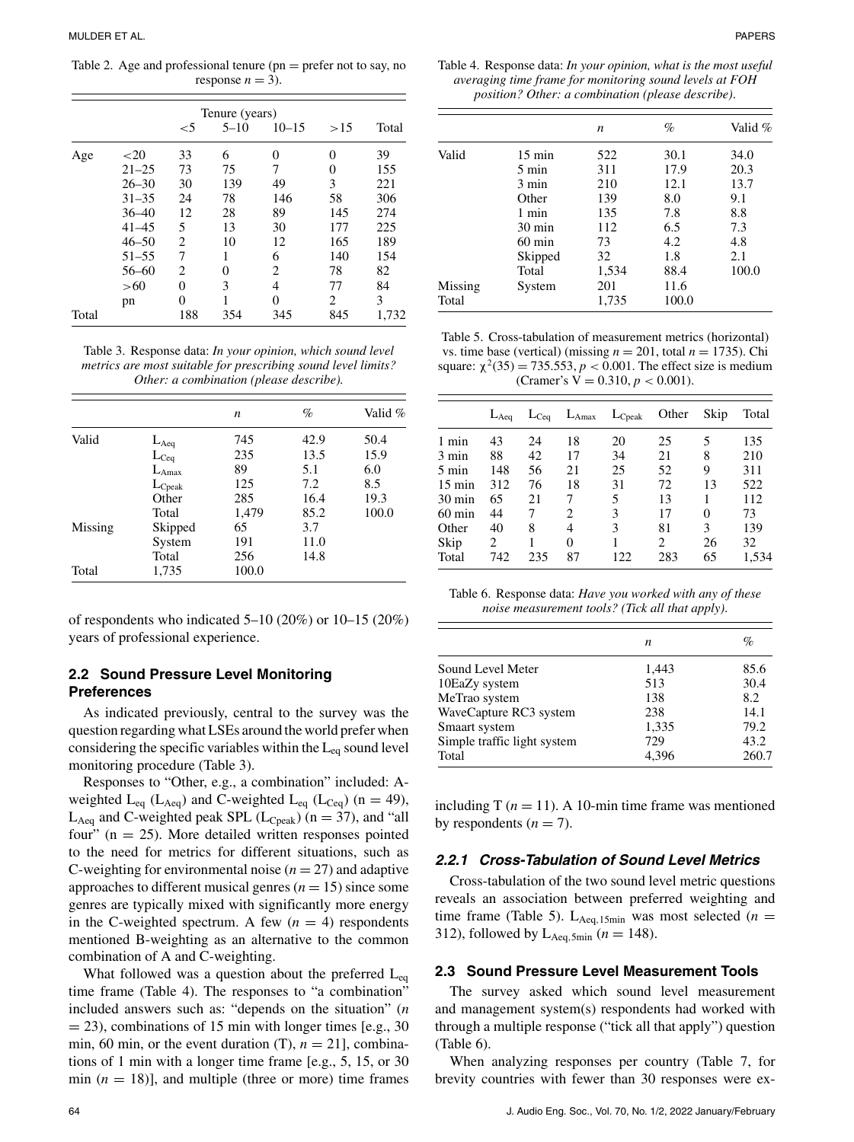Table 2. Age and professional tenure ( $pn = prefer not to say, no$ ) response  $n = 3$ ).

|       |           |       | Tenure (years) |                             |     |       |
|-------|-----------|-------|----------------|-----------------------------|-----|-------|
|       |           | $<$ 5 | $5 - 10$       | $10 - 15$                   | >15 | Total |
| Age   | ${<}20$   | 33    | 6              | 0                           | 0   | 39    |
|       | $21 - 25$ | 73    | 75             | 7                           | 0   | 155   |
|       | $26 - 30$ | 30    | 139            | 49                          | 3   | 221   |
|       | $31 - 35$ | 24    | 78             | 146                         | 58  | 306   |
|       | $36 - 40$ | 12    | 28             | 89                          | 145 | 274   |
|       | $41 - 45$ | 5     | 13             | 30                          | 177 | 225   |
|       | $46 - 50$ | 2     | 10             | 12                          | 165 | 189   |
|       | $51 - 55$ | 7     | 1              | 6                           | 140 | 154   |
|       | $56 - 60$ | 2     | 0              | $\mathcal{D}_{\mathcal{L}}$ | 78  | 82    |
|       | >60       | 0     | 3              | 4                           | 77  | 84    |
|       | pn        | 0     | 1              | $\Omega$                    | 2   | 3     |
| Total |           | 188   | 354            | 345                         | 845 | 1,732 |

Table 3. Response data: *In your opinion, which sound level metrics are most suitable for prescribing sound level limits? Other: a combination (please describe).*

|         |                   | n     | $\%$ | Valid % |
|---------|-------------------|-------|------|---------|
| Valid   | $L_{Aeq}$         | 745   | 42.9 | 50.4    |
|         | $L_{Ceq}$         | 235   | 13.5 | 15.9    |
|         | $L_{\text{Amax}}$ | 89    | 5.1  | 6.0     |
|         | $L_{\rm{Cpeak}}$  | 125   | 7.2  | 8.5     |
|         | Other             | 285   | 16.4 | 19.3    |
|         | Total             | 1,479 | 85.2 | 100.0   |
| Missing | Skipped           | 65    | 3.7  |         |
|         | System            | 191   | 11.0 |         |
|         | Total             | 256   | 14.8 |         |
| Total   | 1,735             | 100.0 |      |         |

of respondents who indicated 5–10 (20%) or 10–15 (20%) years of professional experience.

## **2.2 Sound Pressure Level Monitoring Preferences**

As indicated previously, central to the survey was the question regarding what LSEs around the world prefer when considering the specific variables within the  $L_{eq}$  sound level monitoring procedure (Table 3).

Responses to "Other, e.g., a combination" included: Aweighted  $L_{eq}$  ( $L_{Aeq}$ ) and C-weighted  $L_{eq}$  ( $L_{Ceq}$ ) (n = 49),  $L_{Aeq}$  and C-weighted peak SPL ( $L_{Cpeak}$ ) (n = 37), and "all four" ( $n = 25$ ). More detailed written responses pointed to the need for metrics for different situations, such as C-weighting for environmental noise  $(n = 27)$  and adaptive approaches to different musical genres  $(n = 15)$  since some genres are typically mixed with significantly more energy in the C-weighted spectrum. A few  $(n = 4)$  respondents mentioned B-weighting as an alternative to the common combination of A and C-weighting.

What followed was a question about the preferred  $L_{eq}$ time frame (Table 4). The responses to "a combination" included answers such as: "depends on the situation" (*n*  $=$  23), combinations of 15 min with longer times [e.g., 30] min, 60 min, or the event duration  $(T)$ ,  $n = 21$ ], combinations of 1 min with a longer time frame [e.g., 5, 15, or 30 min  $(n = 18)$ ], and multiple (three or more) time frames

Table 4. Response data: *In your opinion, what is the most useful averaging time frame for monitoring sound levels at FOH position? Other: a combination (please describe)*.

|         |                  | n     | $\%$  | Valid % |
|---------|------------------|-------|-------|---------|
| Valid   | $15 \text{ min}$ | 522   | 30.1  | 34.0    |
|         | 5 min            | 311   | 17.9  | 20.3    |
|         | 3 min            | 210   | 12.1  | 13.7    |
|         | Other            | 139   | 8.0   | 9.1     |
|         | 1 min            | 135   | 7.8   | 8.8     |
|         | $30 \text{ min}$ | 112   | 6.5   | 7.3     |
|         | $60 \text{ min}$ | 73    | 4.2   | 4.8     |
|         | Skipped          | 32    | 1.8   | 2.1     |
|         | Total            | 1,534 | 88.4  | 100.0   |
| Missing | System           | 201   | 11.6  |         |
| Total   |                  | 1,735 | 100.0 |         |

Table 5. Cross-tabulation of measurement metrics (horizontal) vs. time base (vertical) (missing  $n = 201$ , total  $n = 1735$ ). Chi square:  $\chi^2(35) = 735.553$ ,  $p < 0.001$ . The effect size is medium (Cramer's  $V = 0.310, p < 0.001$ ).

|                  | $L_{Aeq}$ | $L_{\text{Ceq}}$ | $L_{\text{Amax}}$ | $L_{\rm{Cpeak}}$ | Other | Skip | Total |
|------------------|-----------|------------------|-------------------|------------------|-------|------|-------|
| 1 min            | 43        | 24               | 18                | 20               | 25    | 5    | 135   |
| 3 min            | 88        | 42               | 17                | 34               | 21    | 8    | 210   |
| $5 \text{ min}$  | 148       | 56               | 21                | 25               | 52    | 9    | 311   |
| $15 \text{ min}$ | 312       | 76               | 18                | 31               | 72    | 13   | 522   |
| $30 \text{ min}$ | 65        | 21               | 7                 | 5                | 13    | 1    | 112   |
| $60 \text{ min}$ | 44        | 7                | 2                 | 3                | 17    | 0    | 73    |
| Other            | 40        | 8                | 4                 | 3                | 81    | 3    | 139   |
| Skip             | 2         |                  | 0                 |                  | 2     | 26   | 32    |
| Total            | 742       | 235              | 87                | 122              | 283   | 65   | 1,534 |

Table 6. Response data: *Have you worked with any of these noise measurement tools? (Tick all that apply)*.

|                             | n     | %     |
|-----------------------------|-------|-------|
| Sound Level Meter           | 1,443 | 85.6  |
| 10EaZy system               | 513   | 30.4  |
| MeTrao system               | 138   | 8.2   |
| WaveCapture RC3 system      | 238   | 14.1  |
| Smaart system               | 1,335 | 79.2  |
| Simple traffic light system | 729   | 43.2  |
| Total                       | 4.396 | 260.7 |

including T  $(n = 11)$ . A 10-min time frame was mentioned by respondents  $(n = 7)$ .

# *2.2.1 Cross-Tabulation of Sound Level Metrics*

Cross-tabulation of the two sound level metric questions reveals an association between preferred weighting and time frame (Table 5).  $L_{Aeq,15min}$  was most selected ( $n =$ 312), followed by  $L_{Aeq, 5min}$  ( $n = 148$ ).

#### **2.3 Sound Pressure Level Measurement Tools**

The survey asked which sound level measurement and management system(s) respondents had worked with through a multiple response ("tick all that apply") question (Table 6).

When analyzing responses per country (Table 7, for brevity countries with fewer than 30 responses were ex-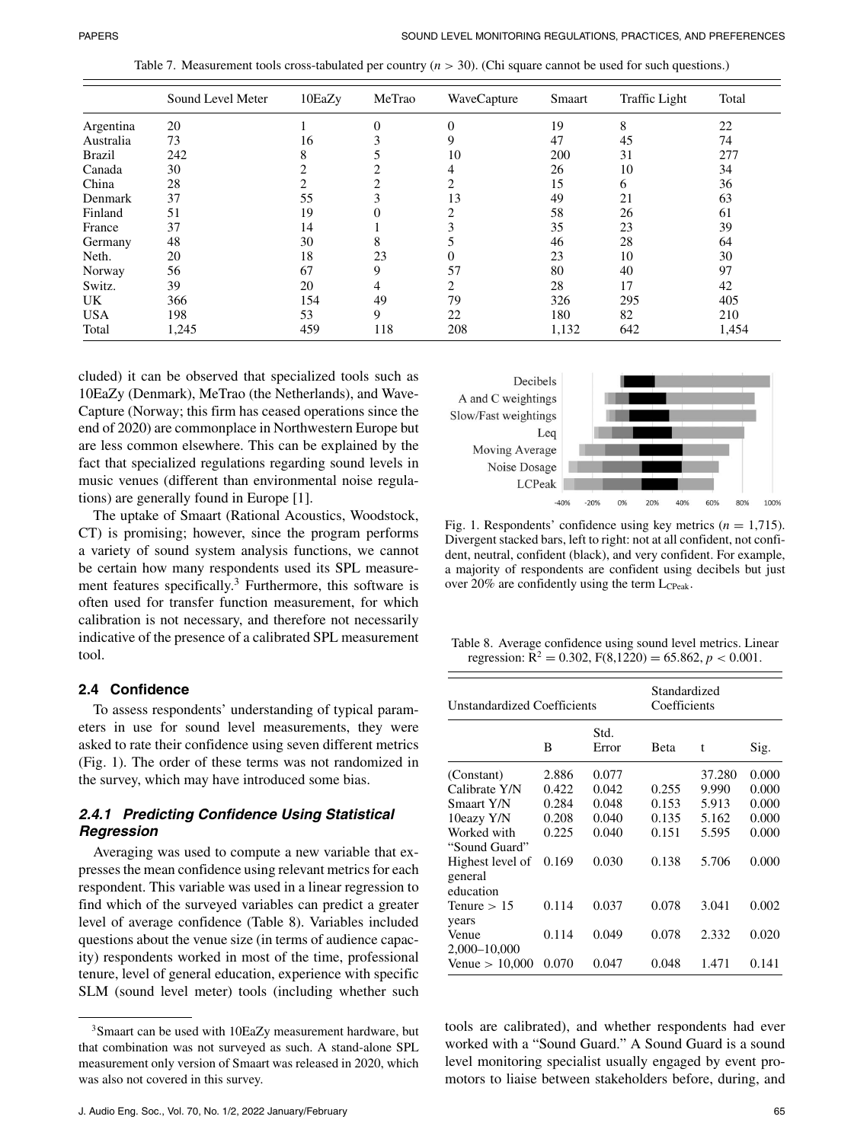Table 7. Measurement tools cross-tabulated per country (*n* > 30). (Chi square cannot be used for such questions.)

|               | Sound Level Meter | 10EaZy | MeTrao   | WaveCapture | Smaart | <b>Traffic Light</b> | Total |
|---------------|-------------------|--------|----------|-------------|--------|----------------------|-------|
| Argentina     | 20                |        | $\Omega$ | $\Omega$    | 19     | 8                    | 22    |
| Australia     | 73                | 16     |          | 9           | 47     | 45                   | 74    |
| <b>Brazil</b> | 242               | 8      |          | 10          | 200    | 31                   | 277   |
| Canada        | 30                |        |          |             | 26     | 10                   | 34    |
| China         | 28                |        |          |             | 15     | 6                    | 36    |
| Denmark       | 37                | 55     |          | 13          | 49     | 21                   | 63    |
| Finland       | 51                | 19     |          |             | 58     | 26                   | 61    |
| France        | 37                | 14     |          |             | 35     | 23                   | 39    |
| Germany       | 48                | 30     | 8        |             | 46     | 28                   | 64    |
| Neth.         | 20                | 18     | 23       | 0           | 23     | 10                   | 30    |
| Norway        | 56                | 67     | 9        | 57          | 80     | 40                   | 97    |
| Switz.        | 39                | 20     | 4        |             | 28     | 17                   | 42    |
| UK.           | 366               | 154    | 49       | 79          | 326    | 295                  | 405   |
| <b>USA</b>    | 198               | 53     | 9        | 22          | 180    | 82                   | 210   |
| Total         | 1,245             | 459    | 118      | 208         | 1,132  | 642                  | 1,454 |

cluded) it can be observed that specialized tools such as 10EaZy (Denmark), MeTrao (the Netherlands), and Wave-Capture (Norway; this firm has ceased operations since the end of 2020) are commonplace in Northwestern Europe but are less common elsewhere. This can be explained by the fact that specialized regulations regarding sound levels in music venues (different than environmental noise regulations) are generally found in Europe [1].

The uptake of Smaart (Rational Acoustics, Woodstock, CT) is promising; however, since the program performs a variety of sound system analysis functions, we cannot be certain how many respondents used its SPL measurement features specifically.<sup>3</sup> Furthermore, this software is often used for transfer function measurement, for which calibration is not necessary, and therefore not necessarily indicative of the presence of a calibrated SPL measurement tool.

# **2.4 Confidence**

To assess respondents' understanding of typical parameters in use for sound level measurements, they were asked to rate their confidence using seven different metrics (Fig. 1). The order of these terms was not randomized in the survey, which may have introduced some bias.

# *2.4.1 Predicting Confidence Using Statistical Regression*

Averaging was used to compute a new variable that expresses the mean confidence using relevant metrics for each respondent. This variable was used in a linear regression to find which of the surveyed variables can predict a greater level of average confidence (Table 8). Variables included questions about the venue size (in terms of audience capacity) respondents worked in most of the time, professional tenure, level of general education, experience with specific SLM (sound level meter) tools (including whether such



Fig. 1. Respondents' confidence using key metrics  $(n = 1,715)$ . Divergent stacked bars, left to right: not at all confident, not confident, neutral, confident (black), and very confident. For example, a majority of respondents are confident using decibels but just over 20% are confidently using the term  $L_{CPeak}$ .

Table 8. Average confidence using sound level metrics. Linear regression:  $R^2 = 0.302$ ,  $F(8,1220) = 65.862$ ,  $p < 0.001$ .

| Unstandardized Coefficients              |       | Standardized<br>Coefficients |             |        |       |
|------------------------------------------|-------|------------------------------|-------------|--------|-------|
|                                          | B     | Std.<br>Error                | <b>Beta</b> | t      | Sig.  |
| (Constant)                               | 2.886 | 0.077                        |             | 37.280 | 0.000 |
| Calibrate Y/N                            | 0.422 | 0.042                        | 0.255       | 9.990  | 0.000 |
| Smaart Y/N                               | 0.284 | 0.048                        | 0.153       | 5.913  | 0.000 |
| 10eazy Y/N                               | 0.208 | 0.040                        | 0.135       | 5.162  | 0.000 |
| Worked with<br>"Sound Guard"             | 0.225 | 0.040                        | 0.151       | 5.595  | 0.000 |
| Highest level of<br>general<br>education | 0.169 | 0.030                        | 0.138       | 5.706  | 0.000 |
| Tenure $> 15$<br>years                   | 0.114 | 0.037                        | 0.078       | 3.041  | 0.002 |
| Venue<br>2,000-10,000                    | 0.114 | 0.049                        | 0.078       | 2.332  | 0.020 |
| Venue $> 10,000$                         | 0.070 | 0.047                        | 0.048       | 1.471  | 0.141 |

tools are calibrated), and whether respondents had ever worked with a "Sound Guard." A Sound Guard is a sound level monitoring specialist usually engaged by event promotors to liaise between stakeholders before, during, and

<sup>3</sup>Smaart can be used with 10EaZy measurement hardware, but that combination was not surveyed as such. A stand-alone SPL measurement only version of Smaart was released in 2020, which was also not covered in this survey.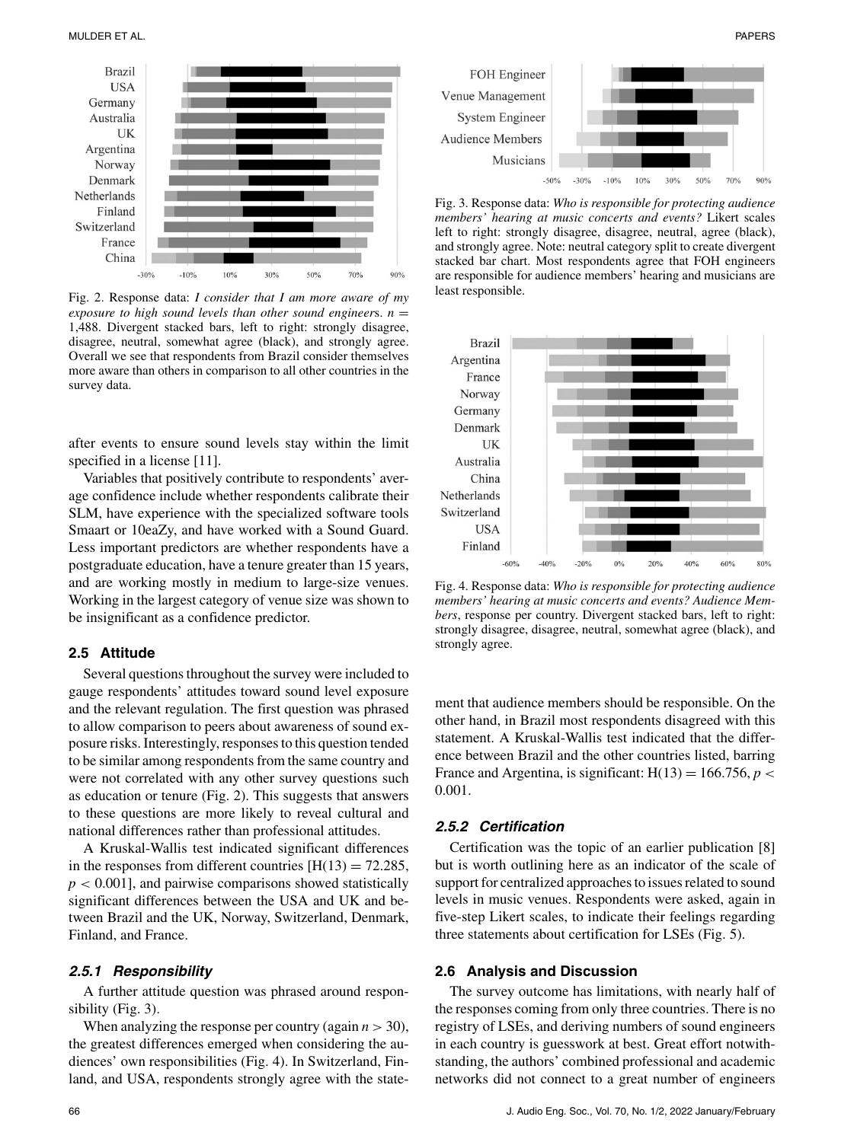

Fig. 2. Response data: *I consider that I am more aware of my exposure to high sound levels than other sound engineers.*  $n =$ 1,488. Divergent stacked bars, left to right: strongly disagree, disagree, neutral, somewhat agree (black), and strongly agree. Overall we see that respondents from Brazil consider themselves more aware than others in comparison to all other countries in the survey data.

after events to ensure sound levels stay within the limit specified in a license [11].

Variables that positively contribute to respondents' average confidence include whether respondents calibrate their SLM, have experience with the specialized software tools Smaart or 10eaZy, and have worked with a Sound Guard. Less important predictors are whether respondents have a postgraduate education, have a tenure greater than 15 years, and are working mostly in medium to large-size venues. Working in the largest category of venue size was shown to be insignificant as a confidence predictor.

#### **2.5 Attitude**

Several questions throughout the survey were included to gauge respondents' attitudes toward sound level exposure and the relevant regulation. The first question was phrased to allow comparison to peers about awareness of sound exposure risks. Interestingly, responses to this question tended to be similar among respondents from the same country and were not correlated with any other survey questions such as education or tenure (Fig. 2). This suggests that answers to these questions are more likely to reveal cultural and national differences rather than professional attitudes.

A Kruskal-Wallis test indicated significant differences in the responses from different countries  $[H(13) = 72.285]$ , *p* < 0.001], and pairwise comparisons showed statistically significant differences between the USA and UK and between Brazil and the UK, Norway, Switzerland, Denmark, Finland, and France.

#### *2.5.1 Responsibility*

A further attitude question was phrased around responsibility (Fig. 3).

When analyzing the response per country (again  $n > 30$ ), the greatest differences emerged when considering the audiences' own responsibilities (Fig. 4). In Switzerland, Finland, and USA, respondents strongly agree with the state-



Fig. 3. Response data: *Who is responsible for protecting audience members' hearing at music concerts and events?* Likert scales left to right: strongly disagree, disagree, neutral, agree (black), and strongly agree. Note: neutral category split to create divergent stacked bar chart. Most respondents agree that FOH engineers are responsible for audience members' hearing and musicians are least responsible.



Fig. 4. Response data: *Who is responsible for protecting audience members' hearing at music concerts and events? Audience Members*, response per country. Divergent stacked bars, left to right: strongly disagree, disagree, neutral, somewhat agree (black), and strongly agree.

ment that audience members should be responsible. On the other hand, in Brazil most respondents disagreed with this statement. A Kruskal-Wallis test indicated that the difference between Brazil and the other countries listed, barring France and Argentina, is significant:  $H(13) = 166.756$ ,  $p <$ 0.001.

## *2.5.2 Certification*

Certification was the topic of an earlier publication [8] but is worth outlining here as an indicator of the scale of support for centralized approaches to issues related to sound levels in music venues. Respondents were asked, again in five-step Likert scales, to indicate their feelings regarding three statements about certification for LSEs (Fig. 5).

#### **2.6 Analysis and Discussion**

The survey outcome has limitations, with nearly half of the responses coming from only three countries. There is no registry of LSEs, and deriving numbers of sound engineers in each country is guesswork at best. Great effort notwithstanding, the authors' combined professional and academic networks did not connect to a great number of engineers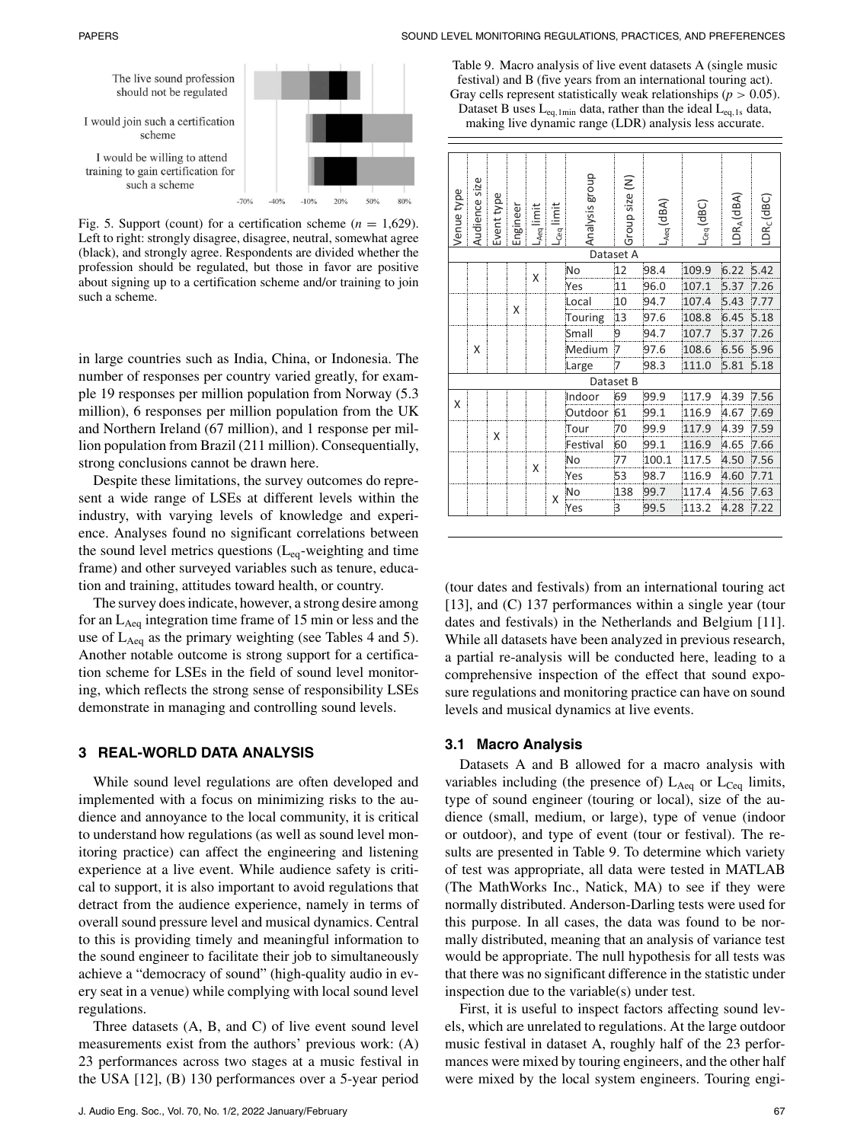



Fig. 5. Support (count) for a certification scheme  $(n = 1,629)$ . Left to right: strongly disagree, disagree, neutral, somewhat agree (black), and strongly agree. Respondents are divided whether the profession should be regulated, but those in favor are positive about signing up to a certification scheme and/or training to join such a scheme.

in large countries such as India, China, or Indonesia. The number of responses per country varied greatly, for example 19 responses per million population from Norway (5.3 million), 6 responses per million population from the UK and Northern Ireland (67 million), and 1 response per million population from Brazil (211 million). Consequentially, strong conclusions cannot be drawn here.

Despite these limitations, the survey outcomes do represent a wide range of LSEs at different levels within the industry, with varying levels of knowledge and experience. Analyses found no significant correlations between the sound level metrics questions  $(L_{eq}$ -weighting and time frame) and other surveyed variables such as tenure, education and training, attitudes toward health, or country.

The survey does indicate, however, a strong desire among for an  $L_{Aeq}$  integration time frame of 15 min or less and the use of  $L_{\text{Aeg}}$  as the primary weighting (see Tables 4 and 5). Another notable outcome is strong support for a certification scheme for LSEs in the field of sound level monitoring, which reflects the strong sense of responsibility LSEs demonstrate in managing and controlling sound levels.

# **3 REAL-WORLD DATA ANALYSIS**

While sound level regulations are often developed and implemented with a focus on minimizing risks to the audience and annoyance to the local community, it is critical to understand how regulations (as well as sound level monitoring practice) can affect the engineering and listening experience at a live event. While audience safety is critical to support, it is also important to avoid regulations that detract from the audience experience, namely in terms of overall sound pressure level and musical dynamics. Central to this is providing timely and meaningful information to the sound engineer to facilitate their job to simultaneously achieve a "democracy of sound" (high-quality audio in every seat in a venue) while complying with local sound level regulations.

Three datasets (A, B, and C) of live event sound level measurements exist from the authors' previous work: (A) 23 performances across two stages at a music festival in the USA [12], (B) 130 performances over a 5-year period

Table 9. Macro analysis of live event datasets A (single music festival) and B (five years from an international touring act). Gray cells represent statistically weak relationships ( $p > 0.05$ ). Dataset B uses  $L_{eq,1min}$  data, rather than the ideal  $L_{eq,1s}$  data,

making live dynamic range (LDR) analysis less accurate.

| Venue type | Audience size | Event type | Engineer | $\ensuremath{\mathop{\vphantom{\rule{1ex}{0.5ex}}}}\nolimits_{\mathsf{Aeq}}$ limit | limit<br>Çeq | Analysis group | Group size (N) | $L_{Aeq}(dBA)$ | $L_{\text{Ceq}}$ (dBC) | $DR_A$ (dBA) | LDR <sub>C</sub> (dBC) |
|------------|---------------|------------|----------|------------------------------------------------------------------------------------|--------------|----------------|----------------|----------------|------------------------|--------------|------------------------|
|            |               |            |          |                                                                                    |              |                | Dataset A      |                |                        |              |                        |
|            |               |            |          | X                                                                                  |              | No             | 12             | 98.4           | 109.9                  | 6.22         | 5.42                   |
|            |               |            |          |                                                                                    |              | Yes            | 11             | 96.0           | 107.1                  | 5.37         | 7.26                   |
|            |               |            |          |                                                                                    |              | Local          | 10             | 94.7           | 107.4                  | 5.43         | 7.77                   |
|            |               |            | X        |                                                                                    |              | Touring        | 13             | 97.6           | 108.8                  | 6.45         | 5.18                   |
|            |               |            |          |                                                                                    |              | Small          | 9              | 94.7           | 107.7                  | 5.37         | 7.26                   |
|            | Χ             |            |          |                                                                                    |              | Medium         | 7              | 97.6           | 108.6                  | 6.56         | 5.96                   |
|            |               |            |          |                                                                                    |              | Large          | :7             | 98.3           | 111.0                  | 5.81         | 5.18                   |
|            |               |            |          |                                                                                    |              |                | Dataset B      |                |                        |              |                        |
| X          |               |            |          |                                                                                    |              | Indoor         | 69             | 99.9           | 117.9                  | 4.39         | 7.56                   |
|            |               |            |          |                                                                                    |              | Outdoor 61     |                | 99.1           | 116.9                  | 4.67         | 7.69                   |
|            |               | X          |          |                                                                                    |              | Tour           | 70             | 99.9           | 117.9                  | 4.39         | 7.59                   |
|            |               |            |          |                                                                                    |              | Festival       | 60             | 99.1           | 116.9                  | 4.65         | 7.66                   |
|            |               |            |          | X                                                                                  |              | No             | 77             | 100.1          | 117.5                  | 4.50         | 7.56                   |
|            |               |            |          |                                                                                    |              | Yes            | 53             | 98.7           | 116.9                  | 4.60         | 7.71                   |
|            |               |            |          |                                                                                    | Χ            | N٥             | 138            | 99.7           | 117.4                  | 4.56         | 7.63                   |
|            |               |            |          |                                                                                    |              | Yes            | 3              | 99.5           | 113.2                  | 4.28         | 7.22                   |

(tour dates and festivals) from an international touring act [13], and (C) 137 performances within a single year (tour dates and festivals) in the Netherlands and Belgium [11]. While all datasets have been analyzed in previous research, a partial re-analysis will be conducted here, leading to a comprehensive inspection of the effect that sound exposure regulations and monitoring practice can have on sound levels and musical dynamics at live events.

#### **3.1 Macro Analysis**

Datasets A and B allowed for a macro analysis with variables including (the presence of)  $L_{Aeq}$  or  $L_{Ceq}$  limits, type of sound engineer (touring or local), size of the audience (small, medium, or large), type of venue (indoor or outdoor), and type of event (tour or festival). The results are presented in Table 9. To determine which variety of test was appropriate, all data were tested in MATLAB (The MathWorks Inc., Natick, MA) to see if they were normally distributed. Anderson-Darling tests were used for this purpose. In all cases, the data was found to be normally distributed, meaning that an analysis of variance test would be appropriate. The null hypothesis for all tests was that there was no significant difference in the statistic under inspection due to the variable(s) under test.

First, it is useful to inspect factors affecting sound levels, which are unrelated to regulations. At the large outdoor music festival in dataset A, roughly half of the 23 performances were mixed by touring engineers, and the other half were mixed by the local system engineers. Touring engi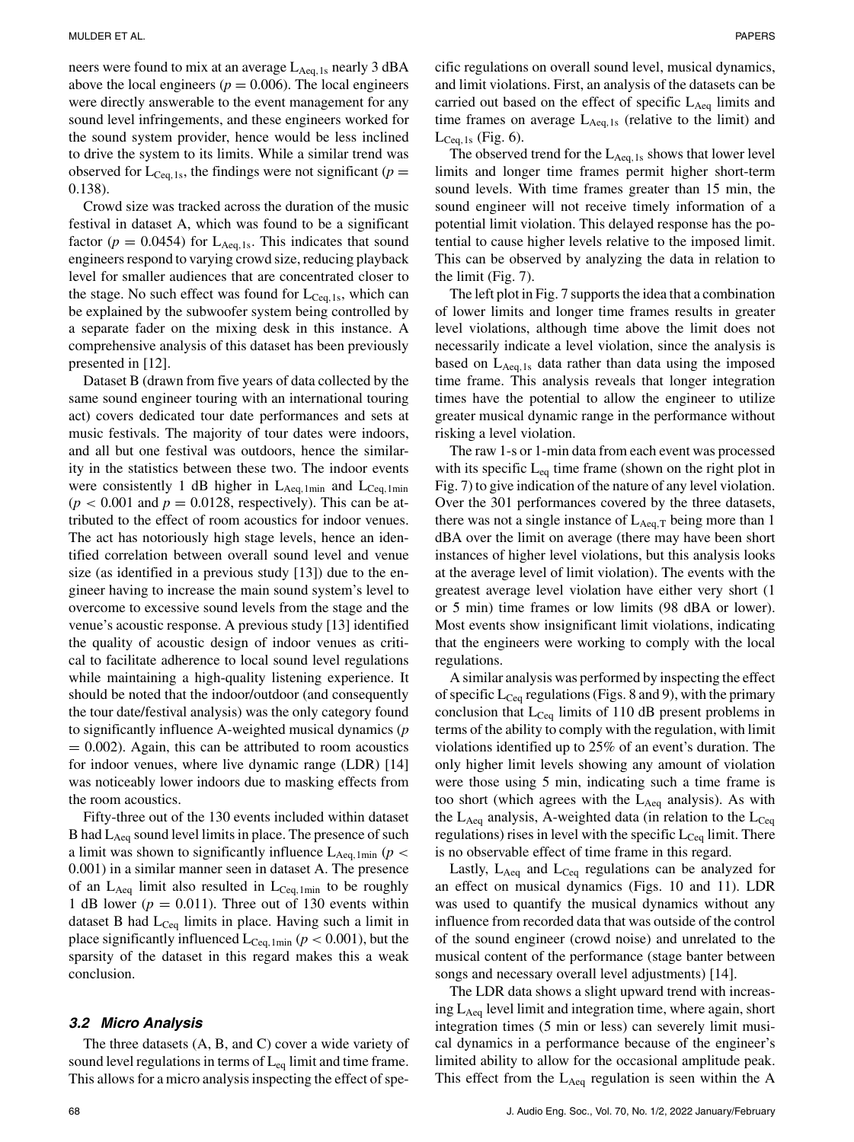neers were found to mix at an average  $L_{Aeq,1s}$  nearly 3 dBA above the local engineers ( $p = 0.006$ ). The local engineers were directly answerable to the event management for any sound level infringements, and these engineers worked for the sound system provider, hence would be less inclined to drive the system to its limits. While a similar trend was observed for  $L_{\text{Ceq,1s}}$ , the findings were not significant ( $p =$ 0.138).

Crowd size was tracked across the duration of the music festival in dataset A, which was found to be a significant factor ( $p = 0.0454$ ) for L<sub>Aeq,1s</sub>. This indicates that sound engineers respond to varying crowd size, reducing playback level for smaller audiences that are concentrated closer to the stage. No such effect was found for  $L_{\text{Cea,1s}}$ , which can be explained by the subwoofer system being controlled by a separate fader on the mixing desk in this instance. A comprehensive analysis of this dataset has been previously presented in [12].

Dataset B (drawn from five years of data collected by the same sound engineer touring with an international touring act) covers dedicated tour date performances and sets at music festivals. The majority of tour dates were indoors, and all but one festival was outdoors, hence the similarity in the statistics between these two. The indoor events were consistently 1 dB higher in  $L_{Aeq,1min}$  and  $L_{Ceq,1min}$  $(p < 0.001$  and  $p = 0.0128$ , respectively). This can be attributed to the effect of room acoustics for indoor venues. The act has notoriously high stage levels, hence an identified correlation between overall sound level and venue size (as identified in a previous study [13]) due to the engineer having to increase the main sound system's level to overcome to excessive sound levels from the stage and the venue's acoustic response. A previous study [13] identified the quality of acoustic design of indoor venues as critical to facilitate adherence to local sound level regulations while maintaining a high-quality listening experience. It should be noted that the indoor/outdoor (and consequently the tour date/festival analysis) was the only category found to significantly influence A-weighted musical dynamics (*p*  $= 0.002$ ). Again, this can be attributed to room acoustics for indoor venues, where live dynamic range (LDR) [14] was noticeably lower indoors due to masking effects from the room acoustics.

Fifty-three out of the 130 events included within dataset B had  $L_{Aeq}$  sound level limits in place. The presence of such a limit was shown to significantly influence  $L_{Aeq,1min}$  ( $p <$ 0.001) in a similar manner seen in dataset A. The presence of an  $L_{Aeq}$  limit also resulted in  $L_{Ceq,1min}$  to be roughly 1 dB lower ( $p = 0.011$ ). Three out of 130 events within dataset B had  $L_{Ceq}$  limits in place. Having such a limit in place significantly influenced  $L_{\text{Ceq, 1min}}$  ( $p < 0.001$ ), but the sparsity of the dataset in this regard makes this a weak conclusion.

#### *3.2 Micro Analysis*

The three datasets (A, B, and C) cover a wide variety of sound level regulations in terms of  $L_{eq}$  limit and time frame. This allows for a micro analysis inspecting the effect of specific regulations on overall sound level, musical dynamics, and limit violations. First, an analysis of the datasets can be carried out based on the effect of specific  $L_{Aeq}$  limits and time frames on average  $L_{Aeq,1s}$  (relative to the limit) and  $L_{Ceq,1s}$  (Fig. 6).

The observed trend for the  $L_{Aea,1s}$  shows that lower level limits and longer time frames permit higher short-term sound levels. With time frames greater than 15 min, the sound engineer will not receive timely information of a potential limit violation. This delayed response has the potential to cause higher levels relative to the imposed limit. This can be observed by analyzing the data in relation to the limit (Fig. 7).

The left plot in Fig. 7 supports the idea that a combination of lower limits and longer time frames results in greater level violations, although time above the limit does not necessarily indicate a level violation, since the analysis is based on  $L_{Aeq,1s}$  data rather than data using the imposed time frame. This analysis reveals that longer integration times have the potential to allow the engineer to utilize greater musical dynamic range in the performance without risking a level violation.

The raw 1-s or 1-min data from each event was processed with its specific  $L_{eq}$  time frame (shown on the right plot in Fig. 7) to give indication of the nature of any level violation. Over the 301 performances covered by the three datasets, there was not a single instance of  $L_{Aeq,T}$  being more than 1 dBA over the limit on average (there may have been short instances of higher level violations, but this analysis looks at the average level of limit violation). The events with the greatest average level violation have either very short (1 or 5 min) time frames or low limits (98 dBA or lower). Most events show insignificant limit violations, indicating that the engineers were working to comply with the local regulations.

A similar analysis was performed by inspecting the effect of specific  $L_{\text{Ceq}}$  regulations (Figs. 8 and 9), with the primary conclusion that  $L_{Ceq}$  limits of 110 dB present problems in terms of the ability to comply with the regulation, with limit violations identified up to 25% of an event's duration. The only higher limit levels showing any amount of violation were those using 5 min, indicating such a time frame is too short (which agrees with the  $L_{Aeq}$  analysis). As with the  $L_{\text{Aeq}}$  analysis, A-weighted data (in relation to the  $L_{\text{Ceq}}$ regulations) rises in level with the specific  $L_{\text{Ceq}}$  limit. There is no observable effect of time frame in this regard.

Lastly,  $L_{Aeq}$  and  $L_{Ceq}$  regulations can be analyzed for an effect on musical dynamics (Figs. 10 and 11). LDR was used to quantify the musical dynamics without any influence from recorded data that was outside of the control of the sound engineer (crowd noise) and unrelated to the musical content of the performance (stage banter between songs and necessary overall level adjustments) [14].

The LDR data shows a slight upward trend with increasing  $L_{Aeq}$  level limit and integration time, where again, short integration times (5 min or less) can severely limit musical dynamics in a performance because of the engineer's limited ability to allow for the occasional amplitude peak. This effect from the  $L_{Aeq}$  regulation is seen within the A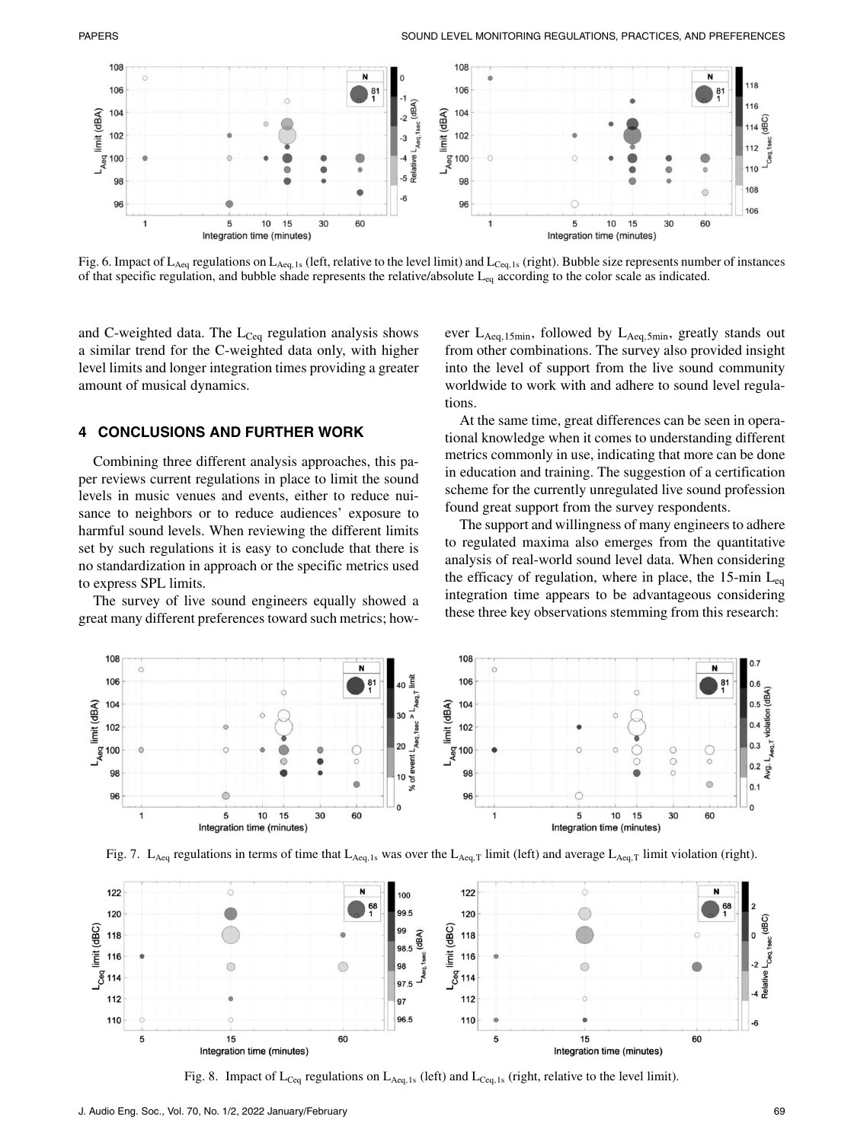

Fig. 6. Impact of  $L_{\text{Aeq}}$  regulations on  $L_{\text{Aeq},1s}$  (left, relative to the level limit) and  $L_{\text{Ceq},1s}$  (right). Bubble size represents number of instances of that specific regulation, and bubble shade represents the relative/absolute  $L_{eq}$  according to the color scale as indicated.

and C-weighted data. The  $L_{Ceq}$  regulation analysis shows a similar trend for the C-weighted data only, with higher level limits and longer integration times providing a greater amount of musical dynamics.

#### **4 CONCLUSIONS AND FURTHER WORK**

Combining three different analysis approaches, this paper reviews current regulations in place to limit the sound levels in music venues and events, either to reduce nuisance to neighbors or to reduce audiences' exposure to harmful sound levels. When reviewing the different limits set by such regulations it is easy to conclude that there is no standardization in approach or the specific metrics used to express SPL limits.

The survey of live sound engineers equally showed a great many different preferences toward such metrics; however  $L_{Aeq,15min}$ , followed by  $L_{Aeq,5min}$ , greatly stands out from other combinations. The survey also provided insight into the level of support from the live sound community worldwide to work with and adhere to sound level regulations.

At the same time, great differences can be seen in operational knowledge when it comes to understanding different metrics commonly in use, indicating that more can be done in education and training. The suggestion of a certification scheme for the currently unregulated live sound profession found great support from the survey respondents.

The support and willingness of many engineers to adhere to regulated maxima also emerges from the quantitative analysis of real-world sound level data. When considering the efficacy of regulation, where in place, the 15-min  $L_{eq}$ integration time appears to be advantageous considering these three key observations stemming from this research:







Fig. 8. Impact of  $L_{Ceq}$  regulations on  $L_{Aeq,1s}$  (left) and  $L_{Ceq,1s}$  (right, relative to the level limit).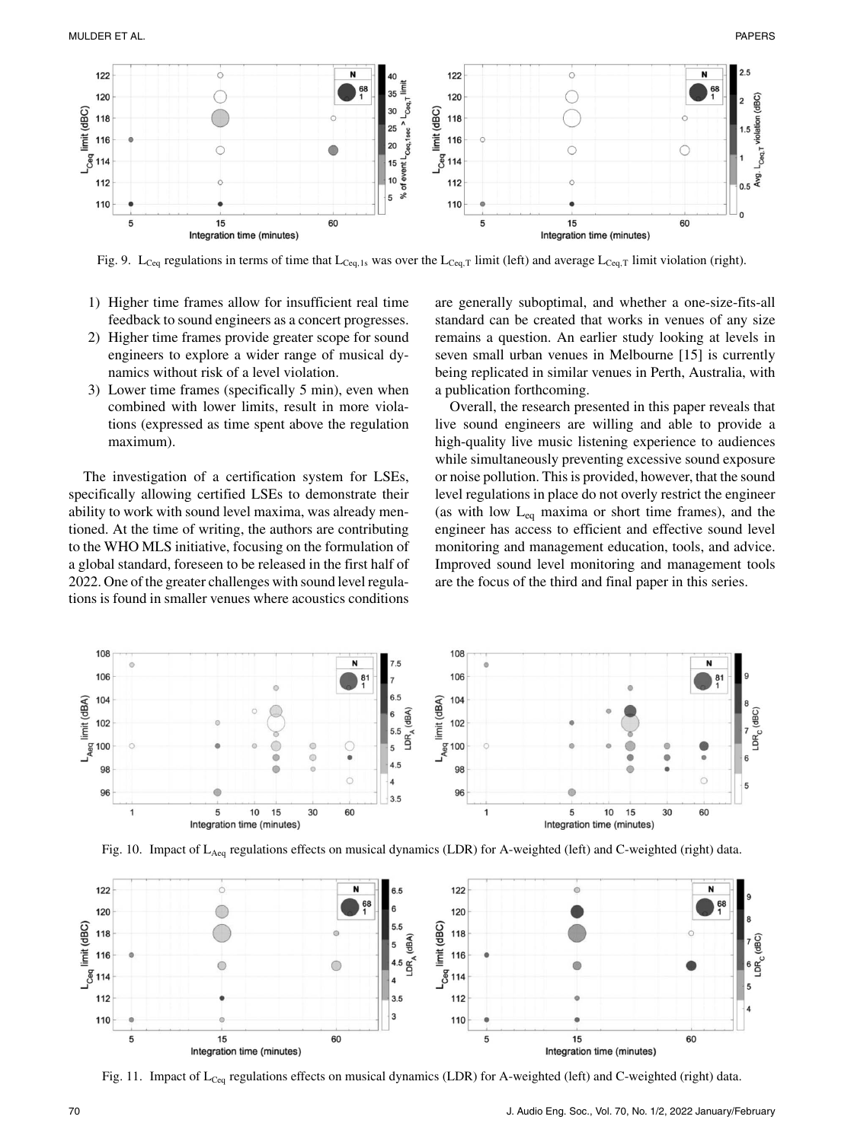

Fig. 9. L<sub>Ceq</sub> regulations in terms of time that L<sub>Ceq,1s</sub> was over the L<sub>Ceq,T</sub> limit (left) and average L<sub>Ceq,T</sub> limit violation (right).

- 1) Higher time frames allow for insufficient real time feedback to sound engineers as a concert progresses.
- 2) Higher time frames provide greater scope for sound engineers to explore a wider range of musical dynamics without risk of a level violation.
- 3) Lower time frames (specifically 5 min), even when combined with lower limits, result in more violations (expressed as time spent above the regulation maximum).

The investigation of a certification system for LSEs, specifically allowing certified LSEs to demonstrate their ability to work with sound level maxima, was already mentioned. At the time of writing, the authors are contributing to the WHO MLS initiative, focusing on the formulation of a global standard, foreseen to be released in the first half of 2022. One of the greater challenges with sound level regulations is found in smaller venues where acoustics conditions are generally suboptimal, and whether a one-size-fits-all standard can be created that works in venues of any size remains a question. An earlier study looking at levels in seven small urban venues in Melbourne [15] is currently being replicated in similar venues in Perth, Australia, with a publication forthcoming.

Overall, the research presented in this paper reveals that live sound engineers are willing and able to provide a high-quality live music listening experience to audiences while simultaneously preventing excessive sound exposure or noise pollution. This is provided, however, that the sound level regulations in place do not overly restrict the engineer (as with low  $L_{eq}$  maxima or short time frames), and the engineer has access to efficient and effective sound level monitoring and management education, tools, and advice. Improved sound level monitoring and management tools are the focus of the third and final paper in this series.







Fig. 11. Impact of  $L_{\text{Ceq}}$  regulations effects on musical dynamics (LDR) for A-weighted (left) and C-weighted (right) data.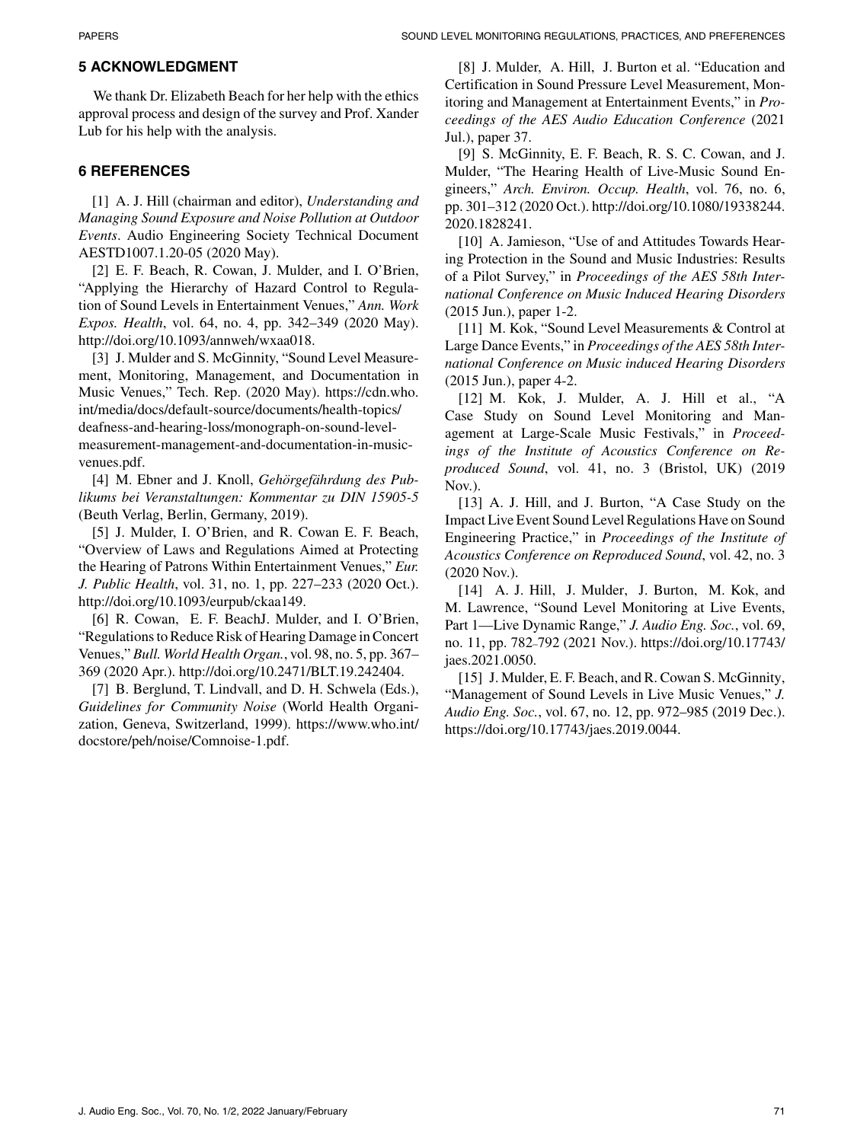# **5 ACKNOWLEDGMENT**

We thank Dr. Elizabeth Beach for her help with the ethics approval process and design of the survey and Prof. Xander Lub for his help with the analysis.

# **6 REFERENCES**

[1] A. J. Hill (chairman and editor), *Understanding and Managing Sound Exposure and Noise Pollution at Outdoor Events*. Audio Engineering Society Technical Document AESTD1007.1.20-05 (2020 May).

[2] E. F. Beach, R. Cowan, J. Mulder, and I. O'Brien, "Applying the Hierarchy of Hazard Control to Regulation of Sound Levels in Entertainment Venues," *Ann. Work Expos. Health*, vol. 64, no. 4, pp. 342–349 (2020 May). [http://doi.org/10.1093/annweh/wxaa018.](http://doi.org/10.1093/annweh/wxaa018)

[3] J. Mulder and S. McGinnity, "Sound Level Measurement, Monitoring, Management, and Documentation in Music Venues," Tech. Rep. (2020 May). [https://cdn.who.](https://cdn.who.int/media/docs/default-source/documents/health-topics/deafness-and-hearing-loss/monograph-on-sound-level-measurement-management-and-documentation-in-music-venues.pdf) [int/media/docs/default-source/documents/health-topics/](https://cdn.who.int/media/docs/default-source/documents/health-topics/deafness-and-hearing-loss/monograph-on-sound-level-measurement-management-and-documentation-in-music-venues.pdf) [deafness-and-hearing-loss/monograph-on-sound-level](https://cdn.who.int/media/docs/default-source/documents/health-topics/deafness-and-hearing-loss/monograph-on-sound-level-measurement-management-and-documentation-in-music-venues.pdf)[measurement-management-and-documentation-in-music](https://cdn.who.int/media/docs/default-source/documents/health-topics/deafness-and-hearing-loss/monograph-on-sound-level-measurement-management-and-documentation-in-music-venues.pdf)[venues.pdf.](https://cdn.who.int/media/docs/default-source/documents/health-topics/deafness-and-hearing-loss/monograph-on-sound-level-measurement-management-and-documentation-in-music-venues.pdf)

[4] M. Ebner and J. Knoll, *Gehörgefährdung des Publikums bei Veranstaltungen: Kommentar zu DIN 15905-5* (Beuth Verlag, Berlin, Germany, 2019).

[5] J. Mulder, I. O'Brien, and R. Cowan E. F. Beach, "Overview of Laws and Regulations Aimed at Protecting the Hearing of Patrons Within Entertainment Venues," *Eur. J. Public Health*, vol. 31, no. 1, pp. 227–233 (2020 Oct.). [http://doi.org/10.1093/eurpub/ckaa149.](http://doi.org/10.1093/eurpub/ckaa149)

[6] R. Cowan, E. F. BeachJ. Mulder, and I. O'Brien, "Regulations to Reduce Risk of Hearing Damage in Concert Venues," *Bull. World Health Organ.*, vol. 98, no. 5, pp. 367– 369 (2020 Apr.). [http://doi.org/10.2471/BLT.19.242404.](http://doi.org/10.2471/BLT.19.242404)

[7] B. Berglund, T. Lindvall, and D. H. Schwela (Eds.), *Guidelines for Community Noise* (World Health Organization, Geneva, Switzerland, 1999). [https://www.who.int/](https://www.who.int/docstore/peh/noise/Comnoise-1.pdf) [docstore/peh/noise/Comnoise-1.pdf.](https://www.who.int/docstore/peh/noise/Comnoise-1.pdf)

[8] J. Mulder, A. Hill, J. Burton et al. "Education and Certification in Sound Pressure Level Measurement, Monitoring and Management at Entertainment Events," in *Proceedings of the AES Audio Education Conference* (2021 Jul.), paper 37.

[9] S. McGinnity, E. F. Beach, R. S. C. Cowan, and J. Mulder, "The Hearing Health of Live-Music Sound Engineers," *Arch. Environ. Occup. Health*, vol. 76, no. 6, pp. 301–312 (2020 Oct.). [http://doi.org/10.1080/19338244.](http://doi.org/10.1080/19338244.2020.1828241) [2020.1828241.](http://doi.org/10.1080/19338244.2020.1828241)

[10] A. Jamieson, "Use of and Attitudes Towards Hearing Protection in the Sound and Music Industries: Results of a Pilot Survey," in *Proceedings of the AES 58th International Conference on Music Induced Hearing Disorders* (2015 Jun.), paper 1-2.

[11] M. Kok, "Sound Level Measurements & Control at Large Dance Events," in *Proceedings of the AES 58th International Conference on Music induced Hearing Disorders* (2015 Jun.), paper 4-2.

[12] M. Kok, J. Mulder, A. J. Hill et al., "A Case Study on Sound Level Monitoring and Management at Large-Scale Music Festivals," in *Proceedings of the Institute of Acoustics Conference on Reproduced Sound*, vol. 41, no. 3 (Bristol, UK) (2019 Nov.).

[13] A. J. Hill, and J. Burton, "A Case Study on the Impact Live Event Sound Level Regulations Have on Sound Engineering Practice," in *Proceedings of the Institute of Acoustics Conference on Reproduced Sound*, vol. 42, no. 3 (2020 Nov.).

[14] A. J. Hill, J. Mulder, J. Burton, M. Kok, and M. Lawrence, "Sound Level Monitoring at Live Events, Part 1—Live Dynamic Range," *J. Audio Eng. Soc.*, vol. 69, no. 11, pp. 782–792 (2021 Nov.). [https://doi.org/10.17743/](https://doi.org/10.17743/jaes.2021.0050) [jaes.2021.0050.](https://doi.org/10.17743/jaes.2021.0050)

[15] J. Mulder, E. F. Beach, and R. Cowan S. McGinnity, "Management of Sound Levels in Live Music Venues," *J. Audio Eng. Soc.*, vol. 67, no. 12, pp. 972–985 (2019 Dec.). [https://doi.org/10.17743/jaes.2019.0044.](https://doi.org/10.17743/jaes.2019.0044)